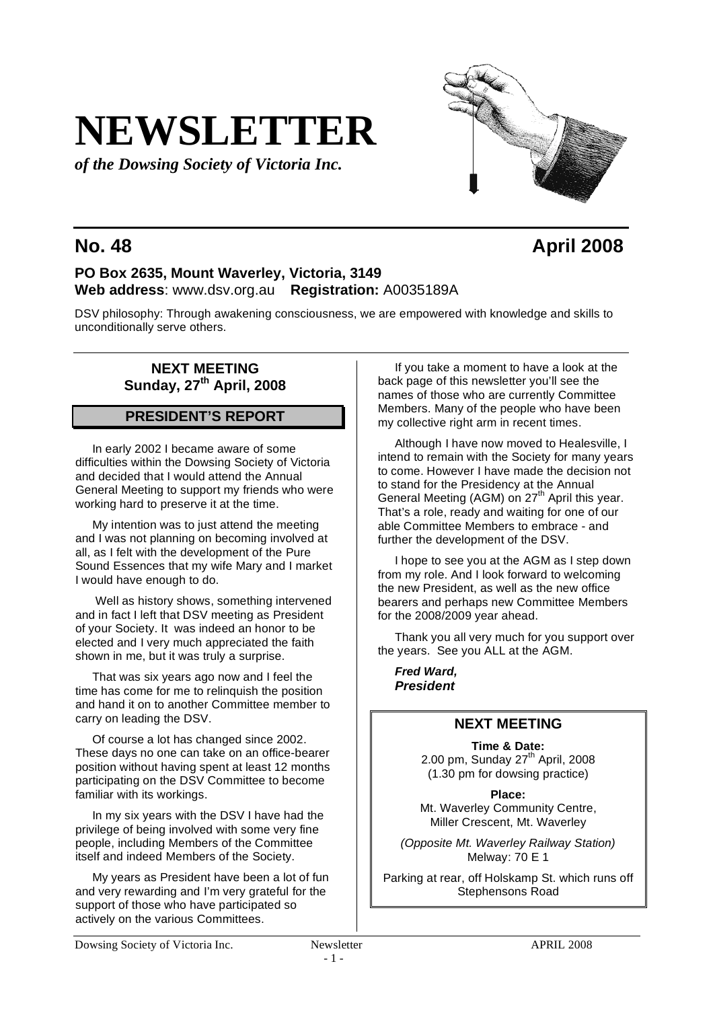# **NEWSLETTER**

*of the Dowsing Society of Victoria Inc.*

## **No. 48 April 2008**

## **PO Box 2635, Mount Waverley, Victoria, 3149 Web address**: www.dsv.org.au **Registration:** A0035189A

DSV philosophy: Through awakening consciousness, we are empowered with knowledge and skills to unconditionally serve others.

## **NEXT MEETING Sunday, 27th April, 2008**

## **PRESIDENT'S REPORT**

In early 2002 I became aware of some difficulties within the Dowsing Society of Victoria and decided that I would attend the Annual General Meeting to support my friends who were working hard to preserve it at the time.

My intention was to just attend the meeting and I was not planning on becoming involved at all, as I felt with the development of the Pure Sound Essences that my wife Mary and I market I would have enough to do.

 Well as history shows, something intervened and in fact I left that DSV meeting as President of your Society. It was indeed an honor to be elected and I very much appreciated the faith shown in me, but it was truly a surprise.

That was six years ago now and I feel the time has come for me to relinquish the position and hand it on to another Committee member to carry on leading the DSV.

Of course a lot has changed since 2002. These days no one can take on an office-bearer position without having spent at least 12 months participating on the DSV Committee to become familiar with its workings.

In my six years with the DSV I have had the privilege of being involved with some very fine people, including Members of the Committee itself and indeed Members of the Society.

My years as President have been a lot of fun and very rewarding and I'm very grateful for the support of those who have participated so actively on the various Committees.

If you take a moment to have a look at the back page of this newsletter you'll see the names of those who are currently Committee Members. Many of the people who have been my collective right arm in recent times.

Although I have now moved to Healesville, I intend to remain with the Society for many years to come. However I have made the decision not to stand for the Presidency at the Annual General Meeting (AGM) on 27<sup>th</sup> April this year. That's a role, ready and waiting for one of our able Committee Members to embrace - and further the development of the DSV.

I hope to see you at the AGM as I step down from my role. And I look forward to welcoming the new President, as well as the new office bearers and perhaps new Committee Members for the 2008/2009 year ahead.

Thank you all very much for you support over the years. See you ALL at the AGM.

*Fred Ward, President*

## **NEXT MEETING**

**Time & Date:** 2.00 pm, Sunday  $27<sup>th</sup>$  April, 2008 (1.30 pm for dowsing practice)

**Place:** Mt. Waverley Community Centre, Miller Crescent, Mt. Waverley

*(Opposite Mt. Waverley Railway Station)* Melway: 70 E 1

Parking at rear, off Holskamp St. which runs off Stephensons Road

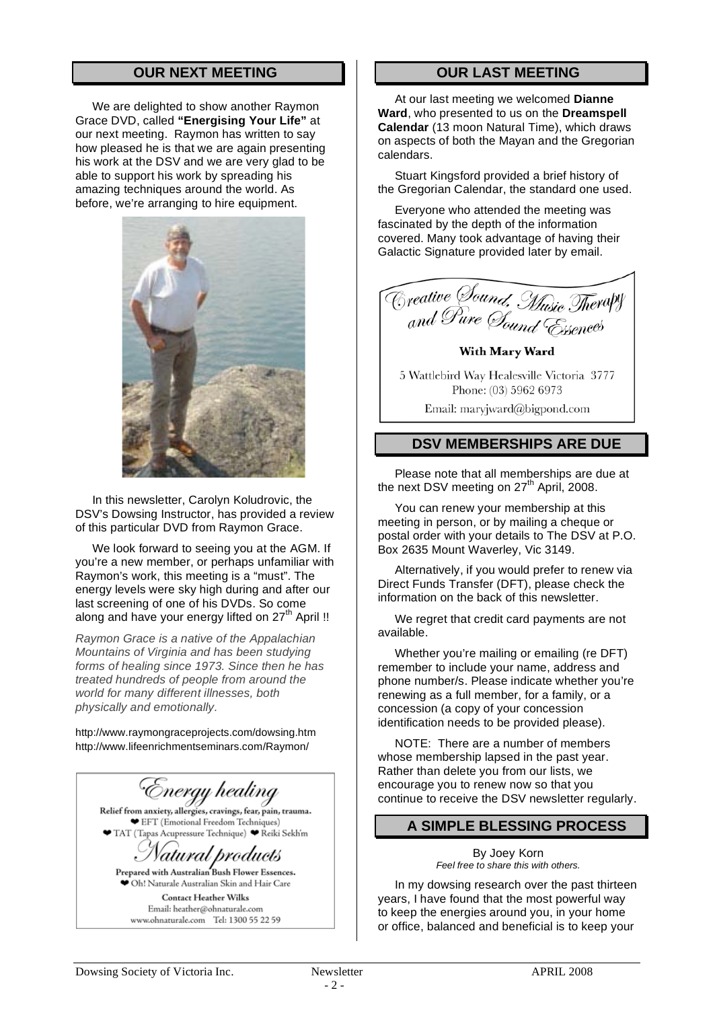### **OUR NEXT MEETING**

We are delighted to show another Raymon Grace DVD, called **"Energising Your Life"** at our next meeting. Raymon has written to say how pleased he is that we are again presenting his work at the DSV and we are very glad to be able to support his work by spreading his amazing techniques around the world. As before, we're arranging to hire equipment.



In this newsletter, Carolyn Koludrovic, the DSV's Dowsing Instructor, has provided a review of this particular DVD from Raymon Grace.

We look forward to seeing you at the AGM. If you're a new member, or perhaps unfamiliar with Raymon's work, this meeting is a "must". The energy levels were sky high during and after our last screening of one of his DVDs. So come along and have your energy lifted on  $27<sup>th</sup>$  April !!

*Raymon Grace is a native of the Appalachian Mountains of Virginia and has been studying forms of healing since 1973. Since then he has treated hundreds of people from around the world for many different illnesses, both physically and emotionally.* 

http://www.raymongraceprojects.com/dowsing.htm http://www.lifeenrichmentseminars.com/Raymon/

Energy healing<br>Relief from anxiety, allergies, cravings, fear, pain, trauma. EFT (Emotional Freedom Techniques)

TAT (Tapas Acupressure Technique) CReiki Sekh'm

Vatural products

Prepared with Australian Bush Flower Essences. ◆ Oh! Naturale Australian Skin and Hair Care

**Contact Heather Wilks** Email: heather@ohnaturale.com www.ohnaturale.com Tel: 1300 55 22 59

#### **OUR LAST MEETING**

At our last meeting we welcomed **Dianne Ward**, who presented to us on the **Dreamspell Calendar** (13 moon Natural Time), which draws on aspects of both the Mayan and the Gregorian calendars.

Stuart Kingsford provided a brief history of the Gregorian Calendar, the standard one used.

Everyone who attended the meeting was fascinated by the depth of the information covered. Many took advantage of having their Galactic Signature provided later by email.



**With Mary Ward** 

5 Wattlebird Wav Healesville Victoria 3777 Phone: (03) 5962 6973

Email: maryjward@bigpond.com

#### **DSV MEMBERSHIPS ARE DUE**

Please note that all memberships are due at the next DSV meeting on 27<sup>th</sup> April, 2008.

You can renew your membership at this meeting in person, or by mailing a cheque or postal order with your details to The DSV at P.O. Box 2635 Mount Waverley, Vic 3149.

Alternatively, if you would prefer to renew via Direct Funds Transfer (DFT), please check the information on the back of this newsletter.

We regret that credit card payments are not available.

Whether you're mailing or emailing (re DFT) remember to include your name, address and phone number/s. Please indicate whether you're renewing as a full member, for a family, or a concession (a copy of your concession identification needs to be provided please).

NOTE: There are a number of members whose membership lapsed in the past year. Rather than delete you from our lists, we encourage you to renew now so that you continue to receive the DSV newsletter regularly.

#### **A SIMPLE BLESSING PROCESS**

By Joey Korn *Feel free to share this with others.*

In my dowsing research over the past thirteen years, I have found that the most powerful way to keep the energies around you, in your home or office, balanced and beneficial is to keep your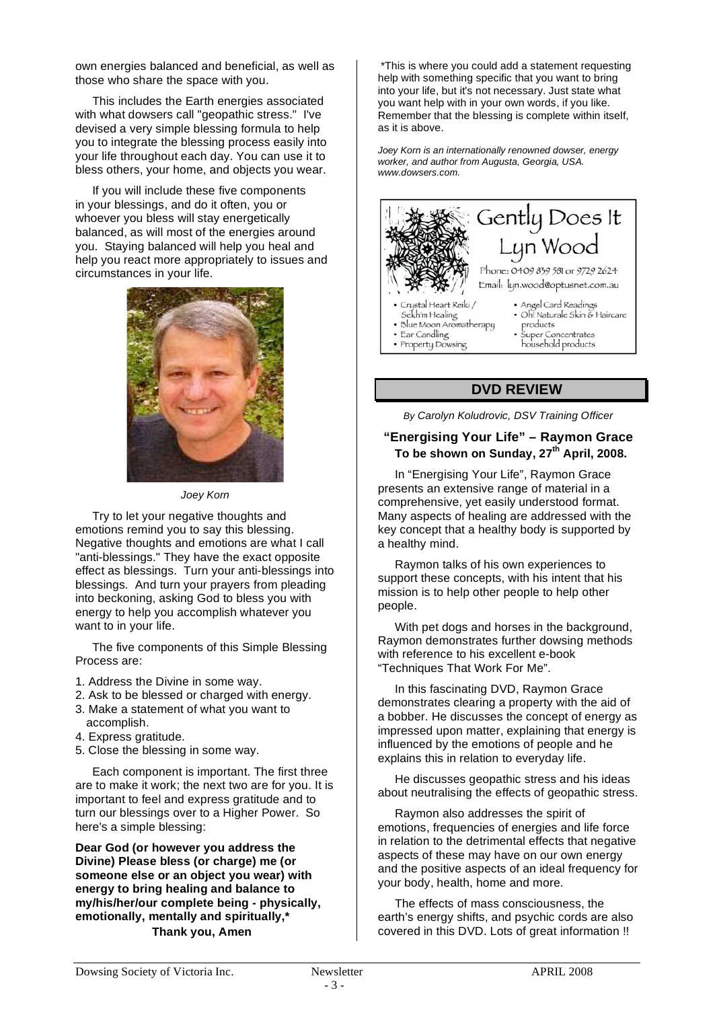own energies balanced and beneficial, as well as those who share the space with you.

This includes the Earth energies associated with what dowsers call "geopathic stress." I've devised a very simple blessing formula to help you to integrate the blessing process easily into your life throughout each day. You can use it to bless others, your home, and objects you wear.

If you will include these five components in your blessings, and do it often, you or whoever you bless will stay energetically balanced, as will most of the energies around you. Staying balanced will help you heal and help you react more appropriately to issues and circumstances in your life.



*Joey Korn*

Try to let your negative thoughts and emotions remind you to say this blessing. Negative thoughts and emotions are what I call "anti-blessings." They have the exact opposite effect as blessings. Turn your anti-blessings into blessings. And turn your prayers from pleading into beckoning, asking God to bless you with energy to help you accomplish whatever you want to in your life.

The five components of this Simple Blessing Process are:

- 1. Address the Divine in some way.
- 2. Ask to be blessed or charged with energy.
- 3. Make a statement of what you want to accomplish.
- 4. Express gratitude.
- 5. Close the blessing in some way.

Each component is important. The first three are to make it work; the next two are for you. It is important to feel and express gratitude and to turn our blessings over to a Higher Power. So here's a simple blessing:

**Dear God (or however you address the Divine) Please bless (or charge) me (or someone else or an object you wear) with energy to bring healing and balance to my/his/her/our complete being - physically, emotionally, mentally and spiritually,\* Thank you, Amen** 

 \*This is where you could add a statement requesting help with something specific that you want to bring into your life, but it's not necessary. Just state what you want help with in your own words, if you like. Remember that the blessing is complete within itself, as it is above.

*Joey Korn is an internationally renowned dowser, energy worker, and author from Augusta, Georgia, USA. www.dowsers.com.*



## *By Carolyn Koludrovic, DSV Training Officer*

#### **"Energising Your Life" – Raymon Grace To be shown on Sunday, 27th April, 2008.**

In "Energising Your Life", Raymon Grace presents an extensive range of material in a comprehensive, yet easily understood format. Many aspects of healing are addressed with the key concept that a healthy body is supported by a healthy mind.

Raymon talks of his own experiences to support these concepts, with his intent that his mission is to help other people to help other people.

With pet dogs and horses in the background. Raymon demonstrates further dowsing methods with reference to his excellent e-book "Techniques That Work For Me".

In this fascinating DVD, Raymon Grace demonstrates clearing a property with the aid of a bobber. He discusses the concept of energy as impressed upon matter, explaining that energy is influenced by the emotions of people and he explains this in relation to everyday life.

He discusses geopathic stress and his ideas about neutralising the effects of geopathic stress.

Raymon also addresses the spirit of emotions, frequencies of energies and life force in relation to the detrimental effects that negative aspects of these may have on our own energy and the positive aspects of an ideal frequency for your body, health, home and more.

The effects of mass consciousness, the earth's energy shifts, and psychic cords are also covered in this DVD. Lots of great information !!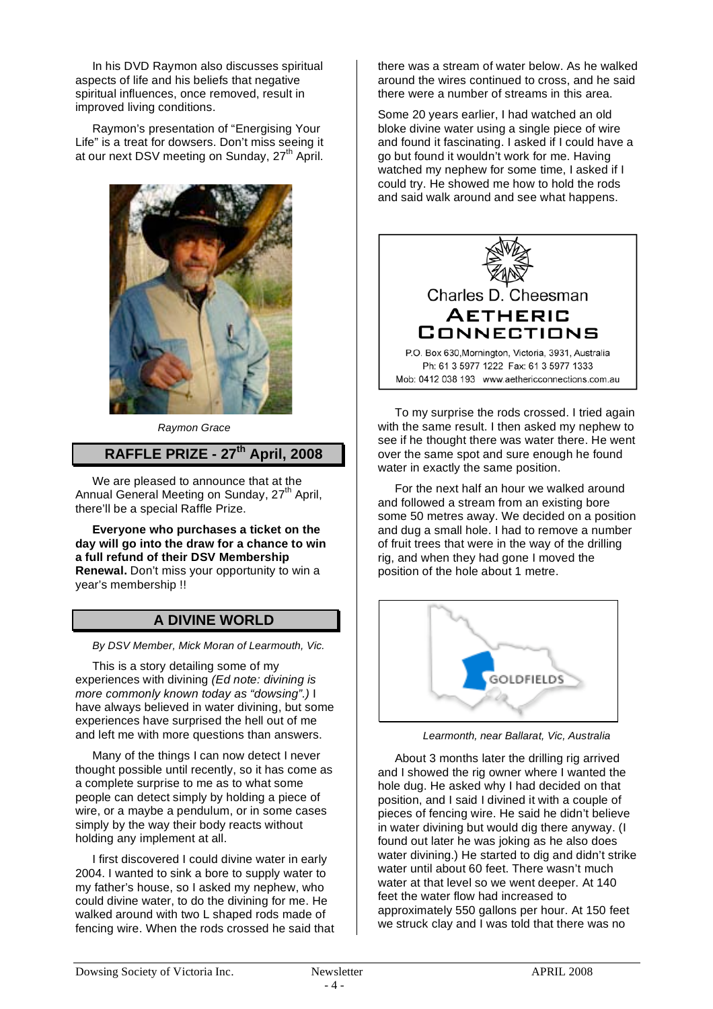In his DVD Raymon also discusses spiritual aspects of life and his beliefs that negative spiritual influences, once removed, result in improved living conditions.

Raymon's presentation of "Energising Your Life" is a treat for dowsers. Don't miss seeing it at our next DSV meeting on Sunday, 27<sup>th</sup> April.



 *Raymon Grace*

**RAFFLE PRIZE - 27th April, 2008**

We are pleased to announce that at the Annual General Meeting on Sunday, 27<sup>th</sup> April, there'll be a special Raffle Prize.

**Everyone who purchases a ticket on the day will go into the draw for a chance to win a full refund of their DSV Membership Renewal.** Don't miss your opportunity to win a year's membership !!

#### **A DIVINE WORLD**

*By DSV Member, Mick Moran of Learmouth, Vic.*

This is a story detailing some of my experiences with divining *(Ed note: divining is more commonly known today as "dowsing".)* I have always believed in water divining, but some experiences have surprised the hell out of me and left me with more questions than answers.

Many of the things I can now detect I never thought possible until recently, so it has come as a complete surprise to me as to what some people can detect simply by holding a piece of wire, or a maybe a pendulum, or in some cases simply by the way their body reacts without holding any implement at all.

I first discovered I could divine water in early 2004. I wanted to sink a bore to supply water to my father's house, so I asked my nephew, who could divine water, to do the divining for me. He walked around with two L shaped rods made of fencing wire. When the rods crossed he said that there was a stream of water below. As he walked around the wires continued to cross, and he said there were a number of streams in this area.

Some 20 years earlier, I had watched an old bloke divine water using a single piece of wire and found it fascinating. I asked if I could have a go but found it wouldn't work for me. Having watched my nephew for some time, I asked if I could try. He showed me how to hold the rods and said walk around and see what happens.



To my surprise the rods crossed. I tried again with the same result. I then asked my nephew to see if he thought there was water there. He went over the same spot and sure enough he found water in exactly the same position.

For the next half an hour we walked around and followed a stream from an existing bore some 50 metres away. We decided on a position and dug a small hole. I had to remove a number of fruit trees that were in the way of the drilling rig, and when they had gone I moved the position of the hole about 1 metre.



*Learmonth, near Ballarat, Vic, Australia*

About 3 months later the drilling rig arrived and I showed the rig owner where I wanted the hole dug. He asked why I had decided on that position, and I said I divined it with a couple of pieces of fencing wire. He said he didn't believe in water divining but would dig there anyway. (I found out later he was joking as he also does water divining.) He started to dig and didn't strike water until about 60 feet. There wasn't much water at that level so we went deeper. At 140 feet the water flow had increased to approximately 550 gallons per hour. At 150 feet we struck clay and I was told that there was no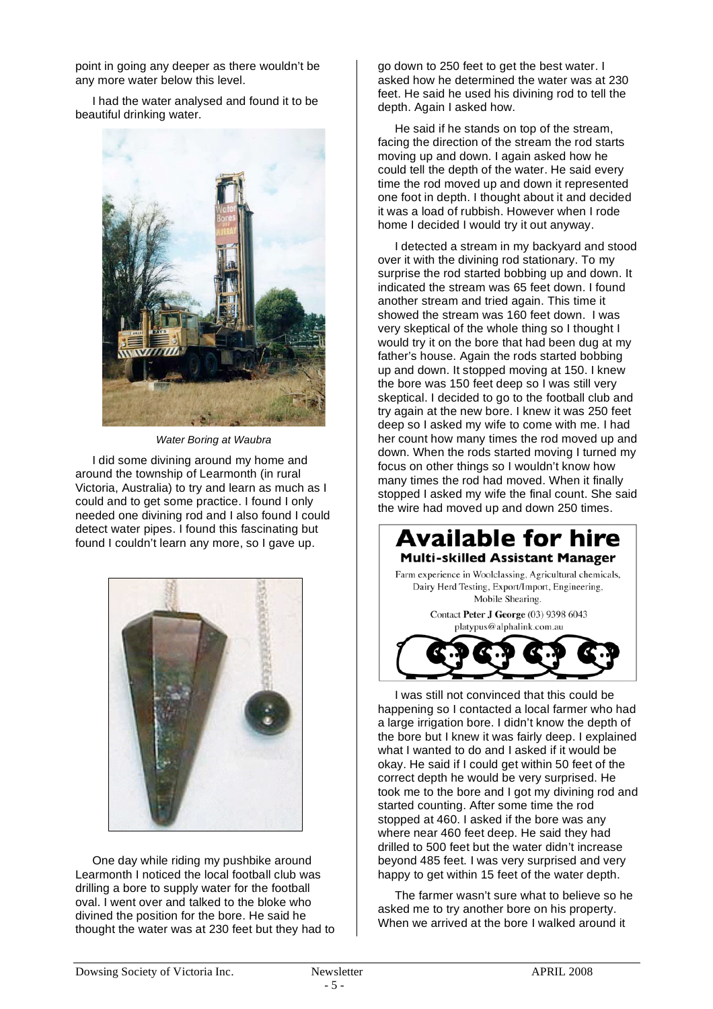point in going any deeper as there wouldn't be any more water below this level.

I had the water analysed and found it to be beautiful drinking water.



*Water Boring at Waubra*

I did some divining around my home and around the township of Learmonth (in rural Victoria, Australia) to try and learn as much as I could and to get some practice. I found I only needed one divining rod and I also found I could detect water pipes. I found this fascinating but found I couldn't learn any more, so I gave up.



One day while riding my pushbike around Learmonth I noticed the local football club was drilling a bore to supply water for the football oval. I went over and talked to the bloke who divined the position for the bore. He said he thought the water was at 230 feet but they had to

go down to 250 feet to get the best water. I asked how he determined the water was at 230 feet. He said he used his divining rod to tell the depth. Again I asked how.

He said if he stands on top of the stream, facing the direction of the stream the rod starts moving up and down. I again asked how he could tell the depth of the water. He said every time the rod moved up and down it represented one foot in depth. I thought about it and decided it was a load of rubbish. However when I rode home I decided I would try it out anyway.

I detected a stream in my backyard and stood over it with the divining rod stationary. To my surprise the rod started bobbing up and down. It indicated the stream was 65 feet down. I found another stream and tried again. This time it showed the stream was 160 feet down. I was very skeptical of the whole thing so I thought I would try it on the bore that had been dug at my father's house. Again the rods started bobbing up and down. It stopped moving at 150. I knew the bore was 150 feet deep so I was still very skeptical. I decided to go to the football club and try again at the new bore. I knew it was 250 feet deep so I asked my wife to come with me. I had her count how many times the rod moved up and down. When the rods started moving I turned my focus on other things so I wouldn't know how many times the rod had moved. When it finally stopped I asked my wife the final count. She said the wire had moved up and down 250 times.



I was still not convinced that this could be happening so I contacted a local farmer who had a large irrigation bore. I didn't know the depth of the bore but I knew it was fairly deep. I explained what I wanted to do and I asked if it would be okay. He said if I could get within 50 feet of the correct depth he would be very surprised. He took me to the bore and I got my divining rod and started counting. After some time the rod stopped at 460. I asked if the bore was any where near 460 feet deep. He said they had drilled to 500 feet but the water didn't increase beyond 485 feet. I was very surprised and very happy to get within 15 feet of the water depth.

The farmer wasn't sure what to believe so he asked me to try another bore on his property. When we arrived at the bore I walked around it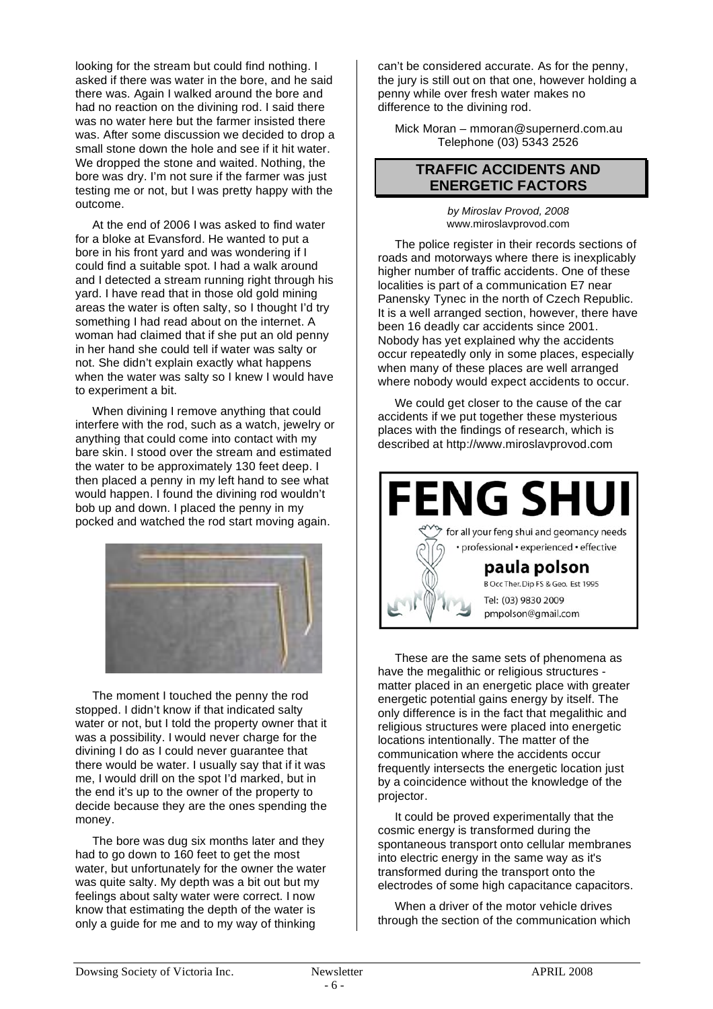looking for the stream but could find nothing. I asked if there was water in the bore, and he said there was. Again I walked around the bore and had no reaction on the divining rod. I said there was no water here but the farmer insisted there was. After some discussion we decided to drop a small stone down the hole and see if it hit water. We dropped the stone and waited. Nothing, the bore was dry. I'm not sure if the farmer was just testing me or not, but I was pretty happy with the outcome.

At the end of 2006 I was asked to find water for a bloke at Evansford. He wanted to put a bore in his front yard and was wondering if I could find a suitable spot. I had a walk around and I detected a stream running right through his yard. I have read that in those old gold mining areas the water is often salty, so I thought I'd try something I had read about on the internet. A woman had claimed that if she put an old penny in her hand she could tell if water was salty or not. She didn't explain exactly what happens when the water was salty so I knew I would have to experiment a bit.

When divining I remove anything that could interfere with the rod, such as a watch, jewelry or anything that could come into contact with my bare skin. I stood over the stream and estimated the water to be approximately 130 feet deep. I then placed a penny in my left hand to see what would happen. I found the divining rod wouldn't bob up and down. I placed the penny in my pocked and watched the rod start moving again.



The moment I touched the penny the rod stopped. I didn't know if that indicated salty water or not, but I told the property owner that it was a possibility. I would never charge for the divining I do as I could never guarantee that there would be water. I usually say that if it was me, I would drill on the spot I'd marked, but in the end it's up to the owner of the property to decide because they are the ones spending the money.

The bore was dug six months later and they had to go down to 160 feet to get the most water, but unfortunately for the owner the water was quite salty. My depth was a bit out but my feelings about salty water were correct. I now know that estimating the depth of the water is only a guide for me and to my way of thinking

can't be considered accurate. As for the penny, the jury is still out on that one, however holding a penny while over fresh water makes no difference to the divining rod.

Mick Moran – mmoran@supernerd.com.au Telephone (03) 5343 2526

## **TRAFFIC ACCIDENTS AND ENERGETIC FACTORS**

*by Miroslav Provod, 2008*  www.miroslavprovod.com

The police register in their records sections of roads and motorways where there is inexplicably higher number of traffic accidents. One of these localities is part of a communication E7 near Panensky Tynec in the north of Czech Republic. It is a well arranged section, however, there have been 16 deadly car accidents since 2001. Nobody has yet explained why the accidents occur repeatedly only in some places, especially when many of these places are well arranged where nobody would expect accidents to occur.

We could get closer to the cause of the car accidents if we put together these mysterious places with the findings of research, which is described at http://www.miroslavprovod.com



These are the same sets of phenomena as have the megalithic or religious structures matter placed in an energetic place with greater energetic potential gains energy by itself. The only difference is in the fact that megalithic and religious structures were placed into energetic locations intentionally. The matter of the communication where the accidents occur frequently intersects the energetic location just by a coincidence without the knowledge of the projector.

It could be proved experimentally that the cosmic energy is transformed during the spontaneous transport onto cellular membranes into electric energy in the same way as it's transformed during the transport onto the electrodes of some high capacitance capacitors.

When a driver of the motor vehicle drives through the section of the communication which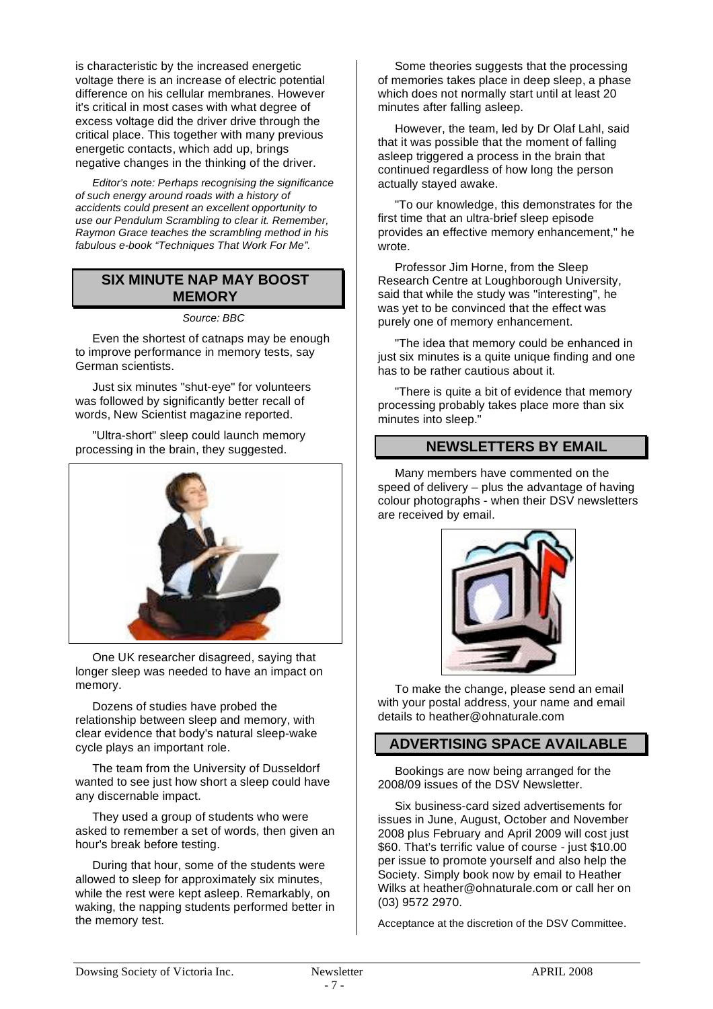is characteristic by the increased energetic voltage there is an increase of electric potential difference on his cellular membranes. However it's critical in most cases with what degree of excess voltage did the driver drive through the critical place. This together with many previous energetic contacts, which add up, brings negative changes in the thinking of the driver.

*Editor's note: Perhaps recognising the significance of such energy around roads with a history of accidents could present an excellent opportunity to use our Pendulum Scrambling to clear it. Remember, Raymon Grace teaches the scrambling method in his fabulous e-book "Techniques That Work For Me".*

#### **SIX MINUTE NAP MAY BOOST MEMORY**

*Source: BBC*

Even the shortest of catnaps may be enough to improve performance in memory tests, say German scientists.

Just six minutes "shut-eye" for volunteers was followed by significantly better recall of words, New Scientist magazine reported.

"Ultra-short" sleep could launch memory processing in the brain, they suggested.

![](_page_6_Picture_7.jpeg)

One UK researcher disagreed, saying that longer sleep was needed to have an impact on memory.

Dozens of studies have probed the relationship between sleep and memory, with clear evidence that body's natural sleep-wake cycle plays an important role.

The team from the University of Dusseldorf wanted to see just how short a sleep could have any discernable impact.

They used a group of students who were asked to remember a set of words, then given an hour's break before testing.

During that hour, some of the students were allowed to sleep for approximately six minutes, while the rest were kept asleep. Remarkably, on waking, the napping students performed better in the memory test.

Some theories suggests that the processing of memories takes place in deep sleep, a phase which does not normally start until at least 20 minutes after falling asleep.

However, the team, led by Dr Olaf Lahl, said that it was possible that the moment of falling asleep triggered a process in the brain that continued regardless of how long the person actually stayed awake.

"To our knowledge, this demonstrates for the first time that an ultra-brief sleep episode provides an effective memory enhancement," he wrote.

Professor Jim Horne, from the Sleep Research Centre at Loughborough University, said that while the study was "interesting", he was yet to be convinced that the effect was purely one of memory enhancement.

"The idea that memory could be enhanced in just six minutes is a quite unique finding and one has to be rather cautious about it.

"There is quite a bit of evidence that memory processing probably takes place more than six minutes into sleep."

## **NEWSLETTERS BY EMAIL**

Many members have commented on the speed of delivery – plus the advantage of having colour photographs - when their DSV newsletters are received by email.

![](_page_6_Picture_21.jpeg)

To make the change, please send an email with your postal address, your name and email details to heather@ohnaturale.com

#### **ADVERTISING SPACE AVAILABLE**

Bookings are now being arranged for the 2008/09 issues of the DSV Newsletter.

Six business-card sized advertisements for issues in June, August, October and November 2008 plus February and April 2009 will cost just \$60. That's terrific value of course - just \$10.00 per issue to promote yourself and also help the Society. Simply book now by email to Heather Wilks at heather@ohnaturale.com or call her on (03) 9572 2970.

Acceptance at the discretion of the DSV Committee.